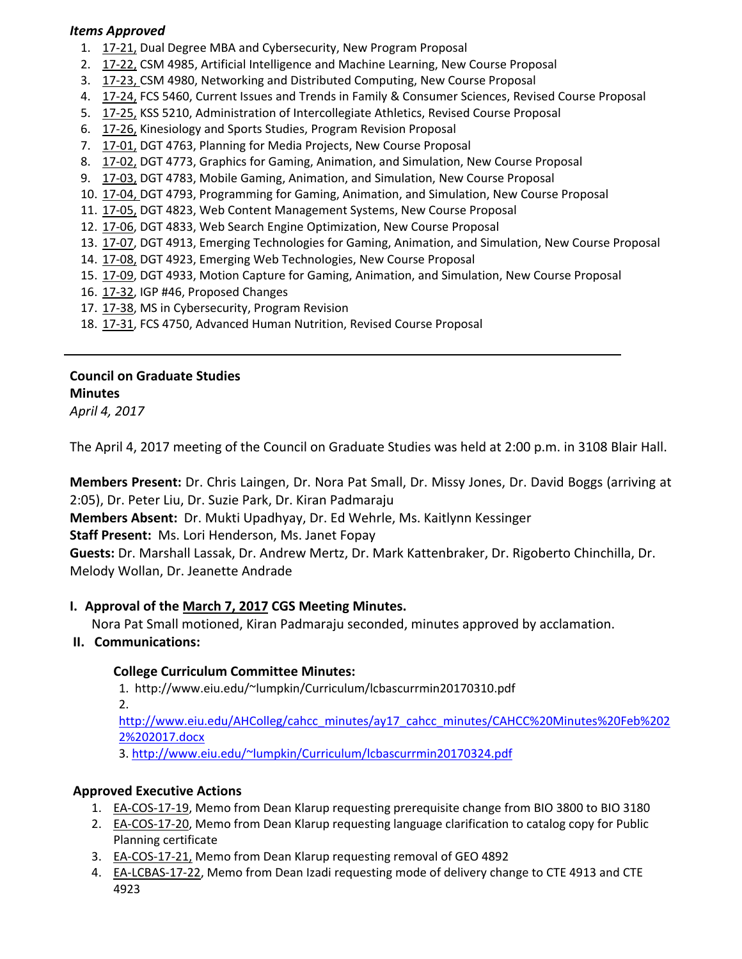### *Items Approved*

- 1. [17](http://castle.eiu.edu/eiucgs/currentagendaitems/agenda17-21.pdf)‐21, Dual Degree MBA and Cybersecurity, New Program Proposal
- 2. 17‐[22,](http://castle.eiu.edu/eiucgs/currentagendaitems/agenda17-22.pdf) CSM 4985, Artificial Intelligence and Machine Learning, New Course Proposal
- 3. [17](http://castle.eiu.edu/eiucgs/currentagendaitems/agenda17-23.pdf)-23, CSM 4980, Networking and Distributed Computing, New Course Proposal
- 4. 17-[24,](http://castle.eiu.edu/eiucgs/currentagendaitems/agenda17-24.pdf) FCS 5460, Current Issues and Trends in Family & Consumer Sciences, Revised Course Proposal
- 5. [17](http://castle.eiu.edu/eiucgs/currentagendaitems/agenda17-25.pdf)-25, KSS 5210, Administration of Intercollegiate Athletics, Revised Course Proposal
- 6. [17](http://castle.eiu.edu/eiucgs/currentagendaitems/agenda17-26.pdf)‐26, Kinesiology and Sports Studies, Program Revision Proposal
- 7. 17-[01,](http://castle.eiu.edu/eiucgs/currentagendaitems/agenda17-01.pdf) DGT 4763, Planning for Media Projects, New Course Proposal
- 8. 17‐[02,](http://castle.eiu.edu/eiucgs/currentagendaitems/agenda17-02.pdf) DGT 4773, Graphics for Gaming, Animation, and Simulation, New Course Proposal
- 9. [17](http://castle.eiu.edu/eiucgs/currentagendaitems/agenda17-03.pdf)-03, DGT 4783, Mobile Gaming, Animation, and Simulation, New Course Proposal
- 10. 17‐[04,](http://castle.eiu.edu/eiucgs/currentagendaitems/agenda17-04.pdf) DGT 4793, Programming for Gaming, Animation, and Simulation, New Course Proposal
- 11. [17](http://castle.eiu.edu/eiucgs/currentagendaitems/agenda17-05.pdf)‐05, DGT 4823, Web Content Management Systems, New Course Proposal
- 12[. 17](http://castle.eiu.edu/eiucgs/currentagendaitems/agenda17-06.pdf)‐06, DGT 4833, Web Search Engine Optimization, New Course Proposal
- 13. 17‐[07,](http://castle.eiu.edu/eiucgs/currentagendaitems/agenda17-07.pdf) DGT 4913, Emerging Technologies for Gaming, Animation, and Simulation, New Course Proposal
- 14. 17‐[08,](http://castle.eiu.edu/eiucgs/currentagendaitems/agenda17-08.pdf) DGT 4923, Emerging Web Technologies, New Course Proposal
- 15. 17‐[09,](http://castle.eiu.edu/eiucgs/currentagendaitems/agenda17-09.pdf) DGT 4933, Motion Capture for Gaming, Animation, and Simulation, New Course Proposal
- 16. 17‐[32,](http://castle.eiu.edu/eiucgs/currentagendaitems/agenda17-32.pdf) IGP #46, Proposed Changes
- 17. 17‐[38,](http://castle.eiu.edu/eiucgs/currentagendaitems/agenda17-38.pdf) MS in Cybersecurity, Program Revision
- 18. 17-[31,](http://castle.eiu.edu/eiucgs/currentagendaitems/agenda17-31.pdf) FCS 4750, Advanced Human Nutrition, Revised Course Proposal

#### **Council on Graduate Studies Minutes**

*April 4, 2017*

The April 4, 2017 meeting of the Council on Graduate Studies was held at 2:00 p.m. in 3108 Blair Hall.

**Members Present:** Dr. Chris Laingen, Dr. Nora Pat Small, Dr. Missy Jones, Dr. David Boggs (arriving at 2:05), Dr. Peter Liu, Dr. Suzie Park, Dr. Kiran Padmaraju

**Members Absent:** Dr. Mukti Upadhyay, Dr. Ed Wehrle, Ms. Kaitlynn Kessinger

**Staff Present:** Ms. Lori Henderson, Ms. Janet Fopay

**Guests:** Dr. Marshall Lassak, Dr. Andrew Mertz, Dr. Mark Kattenbraker, Dr. Rigoberto Chinchilla, Dr. Melody Wollan, Dr. Jeanette Andrade

# **I. Approval of the [March](http://castle.eiu.edu/eiucgs/currentminutes/Minutes3-7-17.pdf) 7, 2017 CGS Meeting Minutes.**

Nora Pat Small motioned, Kiran Padmaraju seconded, minutes approved by acclamation.

# **II. Communications:**

# **College Curriculum Committee Minutes:**

1. <http://www.eiu.edu/~lumpkin/Curriculum/lcbascurrmin20170310.pdf> 2. [http://www.eiu.edu/AHColleg/cahcc\\_minutes/ay17\\_cahcc\\_minutes/](http://www.eiu.edu/AHColleg/cahcc_minutes/ay17_cahcc_minutes/CAHCC%20Minutes%20Feb%2022%202017.docx)CAHCC%20Minutes%20Feb%202 2%202017.docx

3. <http://www.eiu.edu/~lumpkin/Curriculum/lcbascurrmin20170324.pdf>

# **Approved Executive Actions**

- 1. EA‐[COS](http://castle.eiu.edu/eiucgs/exec-actions/EA-COS-17-19.pdf)‐17‐19, Memo from Dean Klarup requesting prerequisite change from BIO 3800 to BIO 3180
- 2. EA-[COS](http://castle.eiu.edu/eiucgs/exec-actions/EA-COS-17-20.pdf)-17-20, Memo from Dean Klarup requesting language clarification to catalog copy for Public Planning certificate
- 3. EA‐[COS](http://castle.eiu.edu/eiucgs/exec-actions/EA-COS-17-21.pdf)‐17‐21, Memo from Dean Klarup requesting removal of GEO 4892
- 4. EA-[LCBAS](http://castle.eiu.edu/eiucgs/exec-actions/EA-LCBAS-17-22.pdf)-17-22, Memo from Dean Izadi requesting mode of delivery change to CTE 4913 and CTE 4923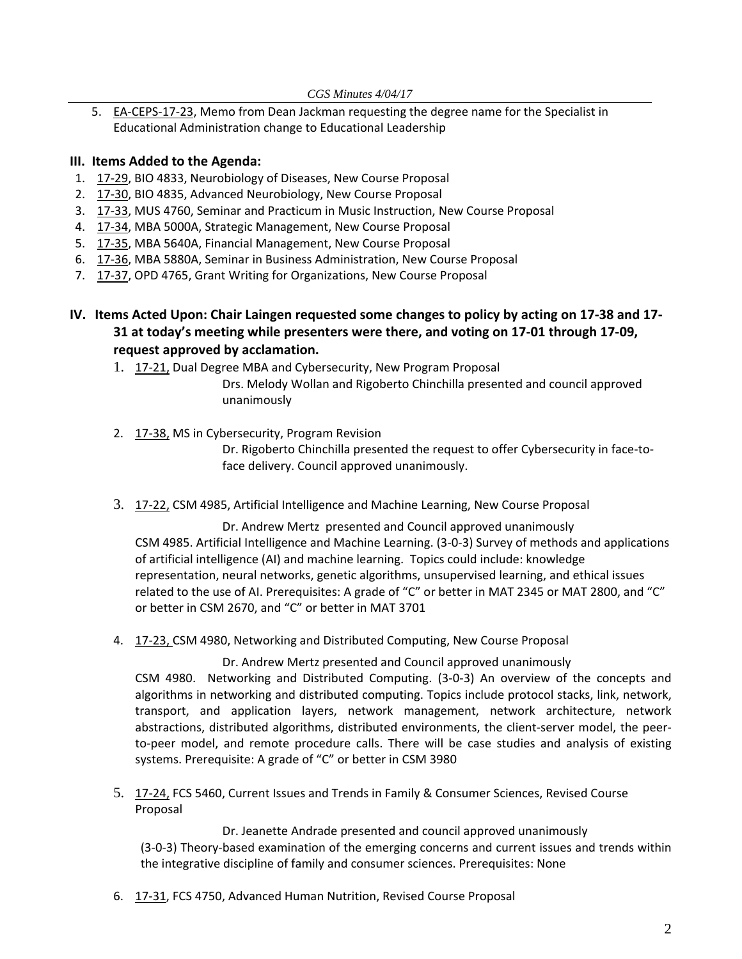5. EA-[CEPS](http://castle.eiu.edu/eiucgs/exec-actions/EA-LCBAS-17-23.pdf)-17-23, Memo from Dean Jackman requesting the degree name for the Specialist in Educational Administration change to Educational Leadership

#### **III. Items Added to the Agenda:**

- 1. 17-[29,](http://castle.eiu.edu/eiucgs/currentagendaitems/agenda17-29.pdf) BIO 4833, Neurobiology of Diseases, New Course Proposal
- 2. 17‐[30,](http://castle.eiu.edu/eiucgs/currentagendaitems/agenda17-30.pdf) BIO 4835, Advanced Neurobiology, New Course Proposal
- 3. 17‐[33,](http://castle.eiu.edu/eiucgs/currentagendaitems/agenda17-33.pdf) MUS 4760, Seminar and Practicum in Music Instruction, New Course Proposal
- 4. 17‐[34,](http://castle.eiu.edu/eiucgs/currentagendaitems/agenda17-34.pdf) MBA 5000A, Strategic Management, New Course Proposal
- 5. 17‐[35,](http://castle.eiu.edu/eiucgs/currentagendaitems/agenda17-35.pdf) MBA 5640A, Financial Management, New Course Proposal
- 6. 17‐[36,](http://castle.eiu.edu/eiucgs/currentagendaitems/agenda17-36.pdf) MBA 5880A, Seminar in Business Administration, New Course Proposal
- 7. 17‐[37,](http://castle.eiu.edu/eiucgs/currentagendaitems/agenda17-37.pdf) OPD 4765, Grant Writing for Organizations, New Course Proposal
- IV. Items Acted Upon: Chair Laingen requested some changes to policy by acting on 17-38 and 17-**31 at today's meeting while presenters were there, and voting on 17‐01 through 17‐09, request approved by acclamation.**
	- 1. 17‐[21,](http://castle.eiu.edu/eiucgs/currentagendaitems/agenda17-21.pdf) Dual Degree MBA and Cybersecurity, New Program Proposal

Drs. Melody Wollan and Rigoberto Chinchilla presented and council approved unanimously

2. 17‐[38,](http://castle.eiu.edu/eiucgs/currentagendaitems/agenda17-38.pdf) MS in Cybersecurity, Program Revision

Dr. Rigoberto Chinchilla presented the request to offer Cybersecurity in face-toface delivery. Council approved unanimously.

3. 17‐[22,](http://castle.eiu.edu/eiucgs/currentagendaitems/agenda17-22.pdf) CSM 4985, Artificial Intelligence and Machine Learning, New Course Proposal

Dr. Andrew Mertz presented and Council approved unanimously CSM 4985. Artificial Intelligence and Machine Learning. (3‐0‐3) Survey of methods and applications of artificial intelligence (AI) and machine learning. Topics could include: knowledge representation, neural networks, genetic algorithms, unsupervised learning, and ethical issues related to the use of AI. Prerequisites: A grade of "C" or better in MAT 2345 or MAT 2800, and "C" or better in CSM 2670, and "C" or better in MAT 3701

4. 17-[23,](http://castle.eiu.edu/eiucgs/currentagendaitems/agenda17-23.pdf) CSM 4980, Networking and Distributed Computing, New Course Proposal

Dr. Andrew Mertz presented and Council approved unanimously CSM 4980. Networking and Distributed Computing. (3‐0‐3) An overview of the concepts and algorithms in networking and distributed computing. Topics include protocol stacks, link, network, transport, and application layers, network management, network architecture, network abstractions, distributed algorithms, distributed environments, the client‐server model, the peer‐ to-peer model, and remote procedure calls. There will be case studies and analysis of existing systems. Prerequisite: A grade of "C" or better in CSM 3980

5. 17-[24,](http://castle.eiu.edu/eiucgs/currentagendaitems/agenda17-24.pdf) FCS 5460, Current Issues and Trends in Family & Consumer Sciences, Revised Course Proposal

Dr. Jeanette Andrade presented and council approved unanimously (3‐0‐3) Theory‐based examination of the emerging concerns and current issues and trends within the integrative discipline of family and consumer sciences. Prerequisites: None

6. 17-31, FCS 4750, Advanced Human Nutrition, Revised Course Proposal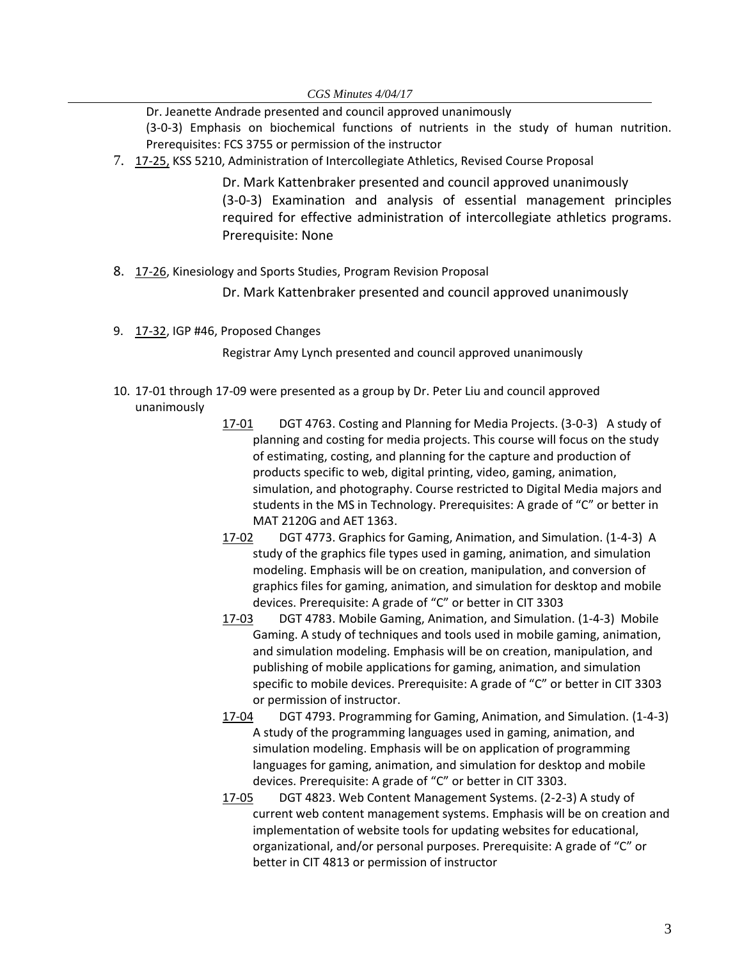Dr. Jeanette Andrade presented and council approved unanimously

(3‐0‐3) Emphasis on biochemical functions of nutrients in the study of human nutrition. Prerequisites: FCS 3755 or permission of the instructor

7. 17‐[25,](http://castle.eiu.edu/eiucgs/currentagendaitems/agenda17-25.pdf) KSS 5210, Administration of Intercollegiate Athletics, Revised Course Proposal

Dr. Mark Kattenbraker presented and council approved unanimously (3‐0‐3) Examination and analysis of essential management principles required for effective administration of intercollegiate athletics programs. Prerequisite: None

8. 17-[26,](http://castle.eiu.edu/eiucgs/currentagendaitems/agenda17-26.pdf) Kinesiology and Sports Studies, Program Revision Proposal

Dr. Mark Kattenbraker presented and council approved unanimously

9. 17‐[32,](http://castle.eiu.edu/eiucgs/currentagendaitems/agenda17-32.pdf) IGP #46, Proposed Changes

Registrar Amy Lynch presented and council approved unanimously

- 10. 17‐01 through 17‐09 were presented as a group by Dr. Peter Liu and council approved unanimously
	- [17](http://castle.eiu.edu/eiucgs/currentagendaitems/agenda17-01.pdf)‐01 DGT 4763. Costing and Planning for Media Projects. (3‐0‐3) A study of planning and costing for media projects. This course will focus on the study of estimating, costing, and planning for the capture and production of products specific to web, digital printing, video, gaming, animation, simulation, and photography. Course restricted to Digital Media majors and students in the MS in Technology. Prerequisites: A grade of "C" or better in MAT 2120G and AET 1363.
	- [17](http://castle.eiu.edu/eiucgs/currentagendaitems/agenda17-02.pdf)‐02 DGT 4773. Graphics for Gaming, Animation, and Simulation. (1‐4‐3) A study of the graphics file types used in gaming, animation, and simulation modeling. Emphasis will be on creation, manipulation, and conversion of graphics files for gaming, animation, and simulation for desktop and mobile devices. Prerequisite: A grade of "C" or better in CIT 3303
	- [17](http://castle.eiu.edu/eiucgs/currentagendaitems/agenda17-03.pdf)-03 DGT 4783. Mobile Gaming, Animation, and Simulation. (1-4-3) Mobile Gaming. A study of techniques and tools used in mobile gaming, animation, and simulation modeling. Emphasis will be on creation, manipulation, and publishing of mobile applications for gaming, animation, and simulation specific to mobile devices. Prerequisite: A grade of "C" or better in CIT 3303 or permission of instructor.
	- [17](http://castle.eiu.edu/eiucgs/currentagendaitems/agenda17-04.pdf)‐04 DGT 4793. Programming for Gaming, Animation, and Simulation. (1‐4‐3) A study of the programming languages used in gaming, animation, and simulation modeling. Emphasis will be on application of programming languages for gaming, animation, and simulation for desktop and mobile devices. Prerequisite: A grade of "C" or better in CIT 3303.
	- [17](http://castle.eiu.edu/eiucgs/currentagendaitems/agenda17-05.pdf)-05 DGT 4823. Web Content Management Systems. (2-2-3) A study of current web content management systems. Emphasis will be on creation and implementation of website tools for updating websites for educational, organizational, and/or personal purposes. Prerequisite: A grade of "C" or better in CIT 4813 or permission of instructor